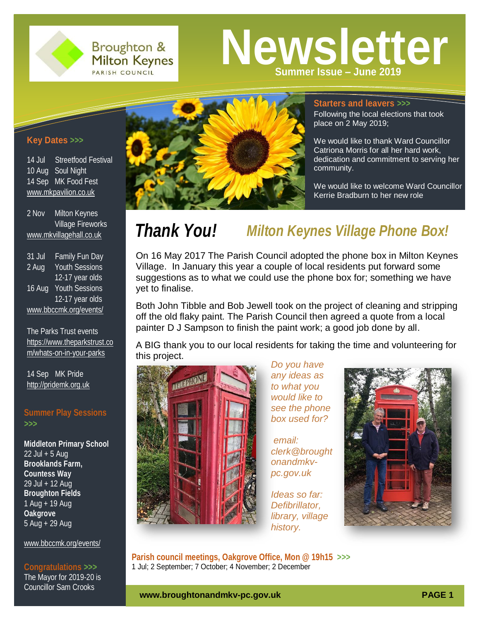

**Broughton & Milton Keynes** PARISH COUNCIL

**Newsletter Summer Issue – June 2019**

## **Key Dates** *>>>*

14 Jul Streetfood Festival 10 Aug Soul Night 14 Sep MK Food Fest [www.mkpavilion.co.uk](http://www.mkpavilion.co.uk/)

2 Nov Milton Keynes Village Fireworks [www.mkvillagehall.co.uk](http://www.mkvillagehall.co.uk/)

31 Jul Family Fun Day 2 Aug Youth Sessions 12-17 year olds 16 Aug Youth Sessions 12-17 year olds [www.bbccmk.org/events/](http://www.bbccmk.org/events/)

The Parks Trust events [https://www.theparkstrust.co](https://www.theparkstrust.com/whats-on-in-your-parks) [m/whats-on-in-your-parks](https://www.theparkstrust.com/whats-on-in-your-parks)

14 Sep MK Pride [http://pridemk.org.uk](http://pridemk.org.uk/)

## **Summer Play Sessions**  *>>>*

**Middleton Primary School**  $22$  Jul + 5 Aug **Brooklands Farm, Countess Way** 29 Jul + 12 Aug **Broughton Fields** 1 Aug + 19 Aug **Oakgrove** 5 Aug + 29 Aug

[www.bbccmk.org/events/](http://www.bbccmk.org/events/)

## **Congratulations** *>>>*

The Mayor for 2019-20 is Councillor Sam Crooks



#### **Starters and leavers** *>>>*

Following the local elections that took place on 2 May 2019;

We would like to thank Ward Councillor Catriona Morris for all her hard work, dedication and commitment to serving her community.

We would like to welcome Ward Councillor Kerrie Bradburn to her new role

# *Thank You! Milton Keynes Village Phone Box!*

On 16 May 2017 The Parish Council adopted the phone box in Milton Keynes Village. In January this year a couple of local residents put forward some suggestions as to what we could use the phone box for; something we have yet to finalise.

Both John Tibble and Bob Jewell took on the project of cleaning and stripping off the old flaky paint. The Parish Council then agreed a quote from a local painter D J Sampson to finish the paint work; a good job done by all.

A BIG thank you to our local residents for taking the time and volunteering for this project.



*Do you have any ideas as to what you would like to see the phone box used for?*

*email: clerk@brought onandmkvpc.gov.uk* 

*Ideas so far: Defibrillator, library, village history.*



**Parish council meetings, Oakgrove Office, Mon @ 19h15** *>>>*k 1 Jul; 2 September; 7 October; 4 November; 2 December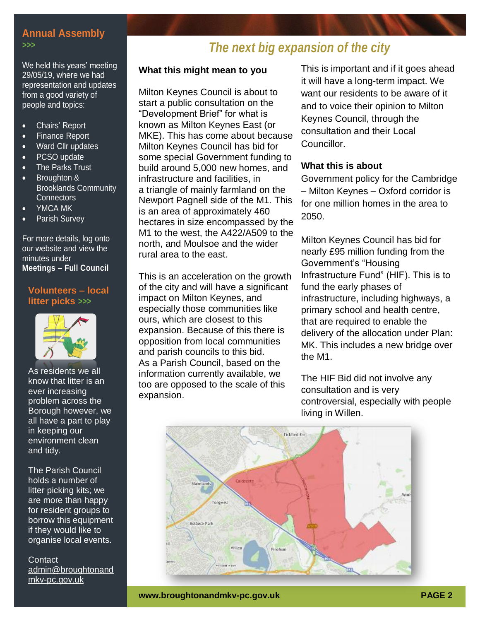## **Annual Assembly**

#### *>>>*

We held this years' meeting 29/05/19, where we had representation and updates from a good variety of people and topics:

- Chairs' Report
- Finance Report
- Ward Cllr updates
- PCSO update
- The Parks Trust
- Broughton & Brooklands Community **Connectors**
- YMCA MK
- Parish Survey

For more details, log onto our website and view the minutes under **Meetings – Full Council**

## **Volunteers – local litter picks** *>>>*



As residents we all know that litter is an ever increasing problem across the Borough however, we all have a part to play in keeping our environment clean and tidy.

The Parish Council holds a number of litter picking kits; we are more than happy for resident groups to borrow this equipment if they would like to organise local events.

#### **Contact** [admin@broughtonand](mailto:admin@broughtonandmkv-pc.gov.uk) [mkv-pc.gov.uk](mailto:admin@broughtonandmkv-pc.gov.uk)

# *The next big expansion of the city*

## **What this might mean to you**

Milton Keynes Council is about to start a public consultation on the "Development Brief" for what is known as Milton Keynes East (or MKE). This has come about because Milton Keynes Council has bid for some special Government funding to build around 5,000 new homes, and infrastructure and facilities, in a triangle of mainly farmland on the Newport Pagnell side of the M1. This is an area of approximately 460 hectares in size encompassed by the M1 to the west, the A422/A509 to the north, and Moulsoe and the wider rural area to the east.

This is an acceleration on the growth of the city and will have a significant impact on Milton Keynes, and especially those communities like ours, which are closest to this expansion. Because of this there is opposition from local communities and parish councils to this bid. As a Parish Council, based on the information currently available, we too are opposed to the scale of this expansion.

This is important and if it goes ahead it will have a long-term impact. We want our residents to be aware of it and to voice their opinion to Milton Keynes Council, through the consultation and their Local Councillor.

### **What this is about**

Government policy for the Cambridge – Milton Keynes – Oxford corridor is for one million homes in the area to 2050.

Milton Keynes Council has bid for nearly £95 million funding from the Government's "Housing Infrastructure Fund" (HIF). This is to fund the early phases of infrastructure, including highways, a primary school and health centre, that are required to enable the delivery of the allocation under Plan: MK. This includes a new bridge over the M1.

The HIF Bid did not involve any consultation and is very controversial, especially with people living in Willen.

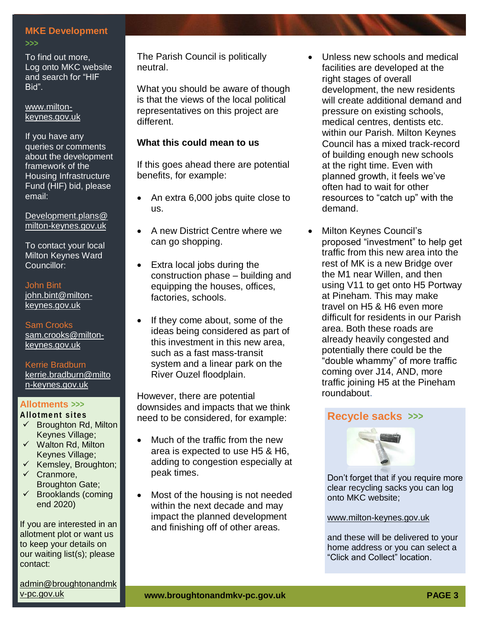### **MKE Development**

#### *>>>*

To find out more, Log onto MKC website and search for "HIF Bid".

#### [www.milton](http://www.milton-keynes.gov.uk/)[keynes.gov.uk](http://www.milton-keynes.gov.uk/)

If you have any queries or comments about the development framework of the Housing Infrastructure Fund (HIF) bid, please email:

[Development.plans@](mailto:Development.plans@milton-keynes.gov.uk) [milton-keynes.gov.uk](mailto:Development.plans@milton-keynes.gov.uk)

To contact your local Milton Keynes Ward Councillor:

#### John Bint

[john.bint@milton](mailto:john.bint@milton-keynes.gov.uk)[keynes.gov.uk](mailto:john.bint@milton-keynes.gov.uk)

Sam Crooks [sam.crooks@milton](mailto:sam.crooks@milton-keynes.gov.uk)[keynes.gov.uk](mailto:sam.crooks@milton-keynes.gov.uk)

#### Kerrie Bradburn [kerrie.bradburn@milto](mailto:kerrie.bradburn@milton-keynes.gov.uk) [n-keynes.gov.uk](mailto:kerrie.bradburn@milton-keynes.gov.uk)

#### **Allotments** *>>>* **Allotme nt sites**

- $\checkmark$  Broughton Rd, Milton Keynes Village;
- $\checkmark$  Walton Rd, Milton Keynes Village;
- $\checkmark$  Kemsley, Broughton;
- $\checkmark$  Cranmore, Broughton Gate;
- $\checkmark$  Brooklands (coming end 2020)

If you are interested in an allotment plot or want us to keep your details on our waiting list(s); please contact:

admin@broughtonandmk

The Parish Council is politically neutral.

What you should be aware of though is that the views of the local political representatives on this project are different.

## **What this could mean to us**

If this goes ahead there are potential benefits, for example:

- An extra 6,000 jobs quite close to us.
- A new District Centre where we can go shopping.
- Extra local jobs during the construction phase – building and equipping the houses, offices, factories, schools.
- If they come about, some of the ideas being considered as part of this investment in this new area, such as a fast mass-transit system and a linear park on the River Ouzel floodplain.

However, there are potential downsides and impacts that we think need to be considered, for example:

- Much of the traffic from the new area is expected to use H5 & H6, adding to congestion especially at peak times.
- Most of the housing is not needed within the next decade and may impact the planned development and finishing off of other areas.
- Unless new schools and medical facilities are developed at the right stages of overall development, the new residents will create additional demand and pressure on existing schools, medical centres, dentists etc. within our Parish. Milton Keynes Council has a mixed track-record of building enough new schools at the right time. Even with planned growth, it feels we've often had to wait for other resources to "catch up" with the demand.
- Milton Keynes Council's proposed "investment" to help get traffic from this new area into the rest of MK is a new Bridge over the M1 near Willen, and then using V11 to get onto H5 Portway at Pineham. This may make travel on H5 & H6 even more difficult for residents in our Parish area. Both these roads are already heavily congested and potentially there could be the "double whammy" of more traffic coming over J14, AND, more traffic joining H5 at the Pineham roundabout.

## **Recycle sacks** *>>>*



Don't forget that if you require more clear recycling sacks you can log onto MKC website;

#### [www.milton-keynes.gov.uk](http://www.milton-keynes.gov.uk/)

and these will be delivered to your home address or you can select a "Click and Collect" location.